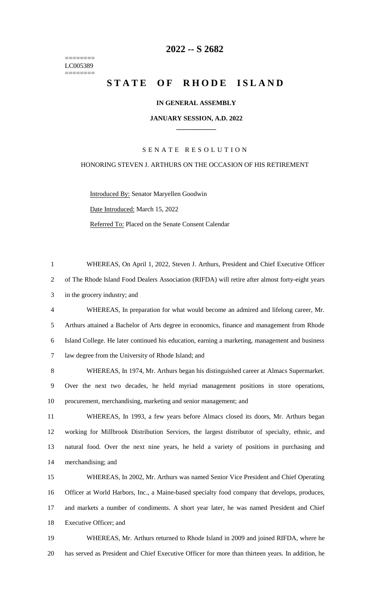======== LC005389 ========

## **-- S 2682**

# **STATE OF RHODE ISLAND**

### **IN GENERAL ASSEMBLY**

#### **JANUARY SESSION, A.D. 2022 \_\_\_\_\_\_\_\_\_\_\_\_**

### S E N A T E R E S O L U T I O N

#### HONORING STEVEN J. ARTHURS ON THE OCCASION OF HIS RETIREMENT

Introduced By: Senator Maryellen Goodwin Date Introduced: March 15, 2022 Referred To: Placed on the Senate Consent Calendar

 WHEREAS, On April 1, 2022, Steven J. Arthurs, President and Chief Executive Officer of The Rhode Island Food Dealers Association (RIFDA) will retire after almost forty-eight years in the grocery industry; and WHEREAS, In preparation for what would become an admired and lifelong career, Mr. Arthurs attained a Bachelor of Arts degree in economics, finance and management from Rhode Island College. He later continued his education, earning a marketing, management and business law degree from the University of Rhode Island; and WHEREAS, In 1974, Mr. Arthurs began his distinguished career at Almacs Supermarket. Over the next two decades, he held myriad management positions in store operations, procurement, merchandising, marketing and senior management; and WHEREAS, In 1993, a few years before Almacs closed its doors, Mr. Arthurs began working for Millbrook Distribution Services, the largest distributor of specialty, ethnic, and natural food. Over the next nine years, he held a variety of positions in purchasing and merchandising; and WHEREAS, In 2002, Mr. Arthurs was named Senior Vice President and Chief Operating Officer at World Harbors, Inc., a Maine-based specialty food company that develops, produces, and markets a number of condiments. A short year later, he was named President and Chief Executive Officer; and WHEREAS, Mr. Arthurs returned to Rhode Island in 2009 and joined RIFDA, where he

has served as President and Chief Executive Officer for more than thirteen years. In addition, he